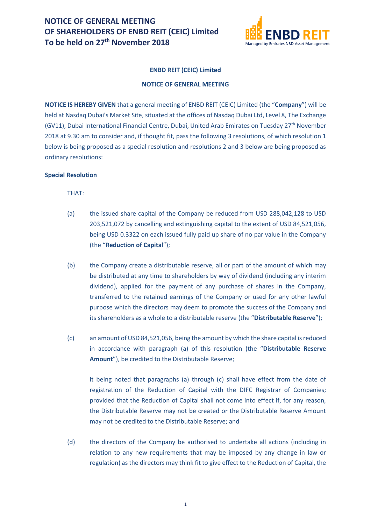

## **ENBD REIT (CEIC) Limited**

## **NOTICE OF GENERAL MEETING**

**NOTICE IS HEREBY GIVEN** that a general meeting of ENBD REIT (CEIC) Limited (the "**Company**") will be held at Nasdaq Dubai's Market Site, situated at the offices of Nasdaq Dubai Ltd, Level 8, The Exchange (GV11), Dubai International Financial Centre, Dubai, United Arab Emirates on Tuesday 27<sup>th</sup> November 2018 at 9.30 am to consider and, if thought fit, pass the following 3 resolutions, of which resolution 1 below is being proposed as a special resolution and resolutions 2 and 3 below are being proposed as ordinary resolutions:

## **Special Resolution**

THAT:

- (a) the issued share capital of the Company be reduced from USD 288,042,128 to USD 203,521,072 by cancelling and extinguishing capital to the extent of USD 84,521,056, being USD 0.3322 on each issued fully paid up share of no par value in the Company (the "**Reduction of Capital**");
- (b) the Company create a distributable reserve, all or part of the amount of which may be distributed at any time to shareholders by way of dividend (including any interim dividend), applied for the payment of any purchase of shares in the Company, transferred to the retained earnings of the Company or used for any other lawful purpose which the directors may deem to promote the success of the Company and its shareholders as a whole to a distributable reserve (the "**Distributable Reserve**");
- (c) an amount of USD 84,521,056, being the amount by which the share capital is reduced in accordance with paragraph (a) of this resolution (the "**Distributable Reserve Amount**"), be credited to the Distributable Reserve;

it being noted that paragraphs (a) through (c) shall have effect from the date of registration of the Reduction of Capital with the DIFC Registrar of Companies; provided that the Reduction of Capital shall not come into effect if, for any reason, the Distributable Reserve may not be created or the Distributable Reserve Amount may not be credited to the Distributable Reserve; and

(d) the directors of the Company be authorised to undertake all actions (including in relation to any new requirements that may be imposed by any change in law or regulation) as the directors may think fit to give effect to the Reduction of Capital, the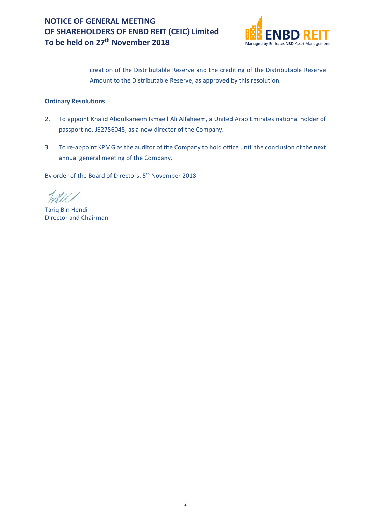

creation of the Distributable Reserve and the crediting of the Distributable Reserve Amount to the Distributable Reserve, as approved by this resolution.

## **Ordinary Resolutions**

- 2. To appoint Khalid Abdulkareem Ismaeil Ali Alfaheem, a United Arab Emirates national holder of passport no. J62786048, as a new director of the Company.
- 3. To re-appoint KPMG as the auditor of the Company to hold office until the conclusion of the next annual general meeting of the Company.

By order of the Board of Directors, 5<sup>th</sup> November 2018

Tariq Bin Hendi Director and Chairman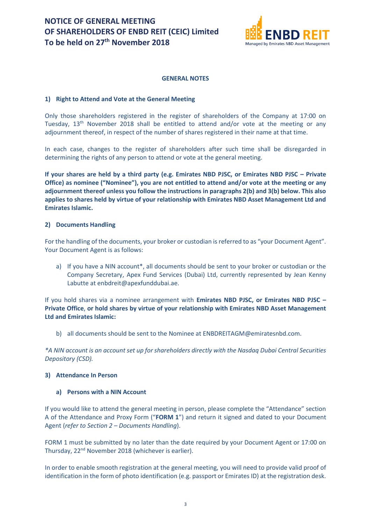

### **GENERAL NOTES**

### **1) Right to Attend and Vote at the General Meeting**

Only those shareholders registered in the register of shareholders of the Company at 17:00 on Tuesday,  $13<sup>th</sup>$  November 2018 shall be entitled to attend and/or vote at the meeting or any adjournment thereof, in respect of the number of shares registered in their name at that time.

In each case, changes to the register of shareholders after such time shall be disregarded in determining the rights of any person to attend or vote at the general meeting.

**If your shares are held by a third party (e.g. Emirates NBD PJSC, or Emirates NBD PJSC – Private Office) as nominee ("Nominee"), you are not entitled to attend and/or vote at the meeting or any adjournment thereof unless you follow the instructions in paragraphs 2(b) and 3(b) below. This also applies to shares held by virtue of your relationship with Emirates NBD Asset Management Ltd and Emirates Islamic.**

### **2) Documents Handling**

For the handling of the documents, your broker or custodian is referred to as "your Document Agent". Your Document Agent is as follows:

a) If you have a NIN account\*, all documents should be sent to your broker or custodian or the Company Secretary, Apex Fund Services (Dubai) Ltd, currently represented by Jean Kenny Labutte at enbdreit@apexfunddubai.ae.

If you hold shares via a nominee arrangement with **Emirates NBD PJSC, or Emirates NBD PJSC – Private Office**, **or hold shares by virtue of your relationship with Emirates NBD Asset Management Ltd and Emirates Islamic:**

b) all documents should be sent to the Nominee at ENBDREITAGM@emiratesnbd.com.

*\*A NIN account is an account set up for shareholders directly with the Nasdaq Dubai Central Securities Depository (CSD).*

## **3) Attendance In Person**

#### **a) Persons with a NIN Account**

If you would like to attend the general meeting in person, please complete the "Attendance" section A of the Attendance and Proxy Form ("**FORM 1**") and return it signed and dated to your Document Agent (*refer to Section 2 – Documents Handling*).

FORM 1 must be submitted by no later than the date required by your Document Agent or 17:00 on Thursday, 22<sup>nd</sup> November 2018 (whichever is earlier).

In order to enable smooth registration at the general meeting, you will need to provide valid proof of identification in the form of photo identification (e.g. passport or Emirates ID) at the registration desk.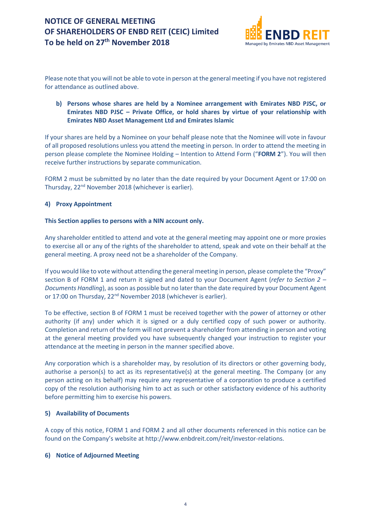

Please note that you will not be able to vote in person at the general meeting if you have not registered for attendance as outlined above.

## **b) Persons whose shares are held by a Nominee arrangement with Emirates NBD PJSC, or Emirates NBD PJSC – Private Office, or hold shares by virtue of your relationship with Emirates NBD Asset Management Ltd and Emirates Islamic**

If your shares are held by a Nominee on your behalf please note that the Nominee will vote in favour of all proposed resolutions unless you attend the meeting in person. In order to attend the meeting in person please complete the Nominee Holding – Intention to Attend Form ("**FORM 2**"). You will then receive further instructions by separate communication.

FORM 2 must be submitted by no later than the date required by your Document Agent or 17:00 on Thursday, 22nd November 2018 (whichever is earlier).

## **4) Proxy Appointment**

## **This Section applies to persons with a NIN account only.**

Any shareholder entitled to attend and vote at the general meeting may appoint one or more proxies to exercise all or any of the rights of the shareholder to attend, speak and vote on their behalf at the general meeting. A proxy need not be a shareholder of the Company.

If you would like to vote without attending the general meeting in person, please complete the "Proxy" section B of FORM 1 and return it signed and dated to your Document Agent (*refer to Section 2 – Documents Handling*), as soon as possible but no later than the date required by your Document Agent or 17:00 on Thursday, 22<sup>nd</sup> November 2018 (whichever is earlier).

To be effective, section B of FORM 1 must be received together with the power of attorney or other authority (if any) under which it is signed or a duly certified copy of such power or authority. Completion and return of the form will not prevent a shareholder from attending in person and voting at the general meeting provided you have subsequently changed your instruction to register your attendance at the meeting in person in the manner specified above.

Any corporation which is a shareholder may, by resolution of its directors or other governing body, authorise a person(s) to act as its representative(s) at the general meeting. The Company (or any person acting on its behalf) may require any representative of a corporation to produce a certified copy of the resolution authorising him to act as such or other satisfactory evidence of his authority before permitting him to exercise his powers.

## **5) Availability of Documents**

A copy of this notice, FORM 1 and FORM 2 and all other documents referenced in this notice can be found on the Company's website at http://www.enbdreit.com/reit/investor-relations.

## **6) Notice of Adjourned Meeting**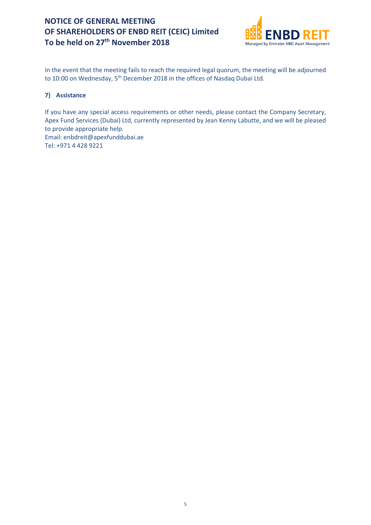

In the event that the meeting fails to reach the required legal quorum, the meeting will be adjourned to 10:00 on Wednesday, 5<sup>th</sup> December 2018 in the offices of Nasdaq Dubai Ltd.

## **7) Assistance**

If you have any special access requirements or other needs, please contact the Company Secretary, Apex Fund Services (Dubai) Ltd, currently represented by Jean Kenny Labutte, and we will be pleased to provide appropriate help. Email: enbdreit@apexfunddubai.ae Tel: +971 4 428 9221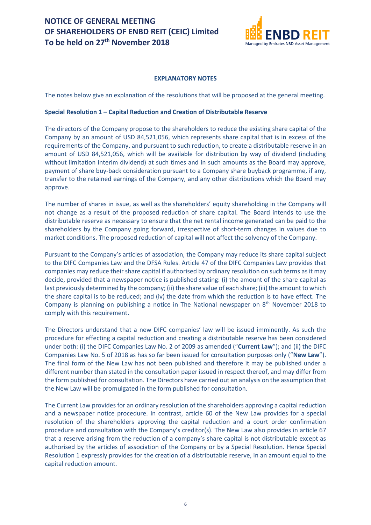

## **EXPLANATORY NOTES**

The notes below give an explanation of the resolutions that will be proposed at the general meeting.

## **Special Resolution 1 – Capital Reduction and Creation of Distributable Reserve**

The directors of the Company propose to the shareholders to reduce the existing share capital of the Company by an amount of USD 84,521,056, which represents share capital that is in excess of the requirements of the Company, and pursuant to such reduction, to create a distributable reserve in an amount of USD 84,521,056, which will be available for distribution by way of dividend (including without limitation interim dividend) at such times and in such amounts as the Board may approve, payment of share buy-back consideration pursuant to a Company share buyback programme, if any, transfer to the retained earnings of the Company, and any other distributions which the Board may approve.

The number of shares in issue, as well as the shareholders' equity shareholding in the Company will not change as a result of the proposed reduction of share capital. The Board intends to use the distributable reserve as necessary to ensure that the net rental income generated can be paid to the shareholders by the Company going forward, irrespective of short-term changes in values due to market conditions. The proposed reduction of capital will not affect the solvency of the Company.

Pursuant to the Company's articles of association, the Company may reduce its share capital subject to the DIFC Companies Law and the DFSA Rules. Article 47 of the DIFC Companies Law provides that companies may reduce their share capital if authorised by ordinary resolution on such terms as it may decide, provided that a newspaper notice is published stating: (i) the amount of the share capital as last previously determined by the company; (ii) the share value of each share; (iii) the amount to which the share capital is to be reduced; and (iv) the date from which the reduction is to have effect. The Company is planning on publishing a notice in The National newspaper on  $8<sup>th</sup>$  November 2018 to comply with this requirement.

The Directors understand that a new DIFC companies' law will be issued imminently. As such the procedure for effecting a capital reduction and creating a distributable reserve has been considered under both: (i) the DIFC Companies Law No. 2 of 2009 as amended ("**Current Law**"); and (ii) the DIFC Companies Law No. 5 of 2018 as has so far been issued for consultation purposes only ("**New Law**"). The final form of the New Law has not been published and therefore it may be published under a different number than stated in the consultation paper issued in respect thereof, and may differ from the form published for consultation. The Directors have carried out an analysis on the assumption that the New Law will be promulgated in the form published for consultation.

The Current Law provides for an ordinary resolution of the shareholders approving a capital reduction and a newspaper notice procedure. In contrast, article 60 of the New Law provides for a special resolution of the shareholders approving the capital reduction and a court order confirmation procedure and consultation with the Company's creditor(s). The New Law also provides in article 67 that a reserve arising from the reduction of a company's share capital is not distributable except as authorised by the articles of association of the Company or by a Special Resolution. Hence Special Resolution 1 expressly provides for the creation of a distributable reserve, in an amount equal to the capital reduction amount.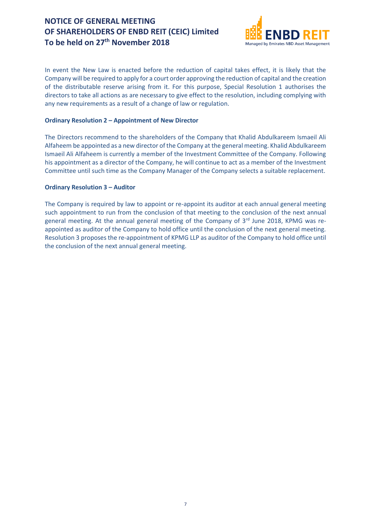

In event the New Law is enacted before the reduction of capital takes effect, it is likely that the Company will be required to apply for a court order approving the reduction of capital and the creation of the distributable reserve arising from it. For this purpose, Special Resolution 1 authorises the directors to take all actions as are necessary to give effect to the resolution, including complying with any new requirements as a result of a change of law or regulation.

## **Ordinary Resolution 2 – Appointment of New Director**

The Directors recommend to the shareholders of the Company that Khalid Abdulkareem Ismaeil Ali Alfaheem be appointed as a new director of the Company at the general meeting. Khalid Abdulkareem Ismaeil Ali Alfaheem is currently a member of the Investment Committee of the Company. Following his appointment as a director of the Company, he will continue to act as a member of the Investment Committee until such time as the Company Manager of the Company selects a suitable replacement.

## **Ordinary Resolution 3 – Auditor**

The Company is required by law to appoint or re-appoint its auditor at each annual general meeting such appointment to run from the conclusion of that meeting to the conclusion of the next annual general meeting. At the annual general meeting of the Company of 3<sup>rd</sup> June 2018, KPMG was reappointed as auditor of the Company to hold office until the conclusion of the next general meeting. Resolution 3 proposes the re-appointment of KPMG LLP as auditor of the Company to hold office until the conclusion of the next annual general meeting.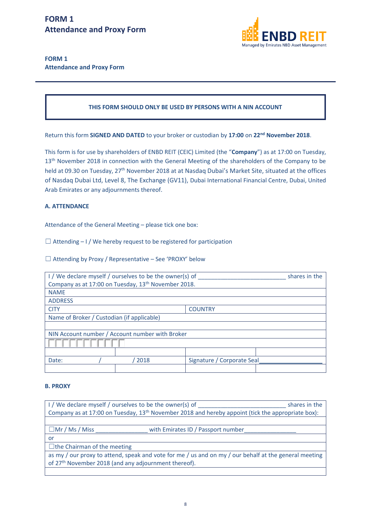

## **FORM 1 Attendance and Proxy Form**

## **THIS FORM SHOULD ONLY BE USED BY PERSONS WITH A NIN ACCOUNT**

Return this form **SIGNED AND DATED** to your broker or custodian by **17:00** on **22nd November 2018**.

This form is for use by shareholders of ENBD REIT (CEIC) Limited (the "**Company**") as at 17:00 on Tuesday, 13<sup>th</sup> November 2018 in connection with the General Meeting of the shareholders of the Company to be held at 09.30 on Tuesday, 27<sup>th</sup> November 2018 at at Nasdaq Dubai's Market Site, situated at the offices of Nasdaq Dubai Ltd, Level 8, The Exchange (GV11), Dubai International Financial Centre, Dubai, United Arab Emirates or any adjournments thereof.

## **A. ATTENDANCE**

Attendance of the General Meeting – please tick one box:

 $\Box$  Attending – I / We hereby request to be registered for participation

 $\Box$  Attending by Proxy / Representative – See 'PROXY' below

| I / We declare myself / ourselves to be the owner(s) of         |      |                            | shares in the |
|-----------------------------------------------------------------|------|----------------------------|---------------|
| Company as at 17:00 on Tuesday, 13 <sup>th</sup> November 2018. |      |                            |               |
| <b>NAME</b>                                                     |      |                            |               |
| <b>ADDRESS</b>                                                  |      |                            |               |
| <b>CITY</b>                                                     |      | <b>COUNTRY</b>             |               |
| Name of Broker / Custodian (if applicable)                      |      |                            |               |
|                                                                 |      |                            |               |
| NIN Account number / Account number with Broker                 |      |                            |               |
|                                                                 |      |                            |               |
|                                                                 |      |                            |               |
| Date:                                                           | 2018 | Signature / Corporate Seal |               |
|                                                                 |      |                            |               |

## **B. PROXY**

| I / We declare myself / ourselves to be the owner(s) of                                                       | shares in the |  |
|---------------------------------------------------------------------------------------------------------------|---------------|--|
| Company as at 17:00 on Tuesday, 13 <sup>th</sup> November 2018 and hereby appoint (tick the appropriate box): |               |  |
|                                                                                                               |               |  |
| $\Box$ Mr / Ms / Miss<br>with Emirates ID / Passport number                                                   |               |  |
| or                                                                                                            |               |  |
| $\Box$ the Chairman of the meeting                                                                            |               |  |
| as my / our proxy to attend, speak and vote for me / us and on my / our behalf at the general meeting         |               |  |
| of 27 <sup>th</sup> November 2018 (and any adjournment thereof).                                              |               |  |
|                                                                                                               |               |  |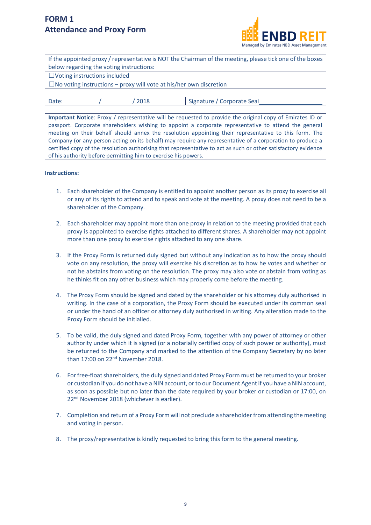## **FORM 1 Attendance and Proxy Form**

of his authority before permitting him to exercise his powers.



|                                                                                                                |                                     | below regarding the voting instructions:                                  | If the appointed proxy / representative is NOT the Chairman of the meeting, please tick one of the boxes  |
|----------------------------------------------------------------------------------------------------------------|-------------------------------------|---------------------------------------------------------------------------|-----------------------------------------------------------------------------------------------------------|
|                                                                                                                | $\Box$ Voting instructions included |                                                                           |                                                                                                           |
|                                                                                                                |                                     | $\Box$ No voting instructions – proxy will vote at his/her own discretion |                                                                                                           |
|                                                                                                                |                                     |                                                                           |                                                                                                           |
| Date:                                                                                                          |                                     | 2018                                                                      | Signature / Corporate Seal                                                                                |
|                                                                                                                |                                     |                                                                           |                                                                                                           |
|                                                                                                                |                                     |                                                                           | Important Notice: Proxy / representative will be requested to provide the original copy of Emirates ID or |
| passport. Corporate shareholders wishing to appoint a corporate representative to attend the general           |                                     |                                                                           |                                                                                                           |
| meeting on their behalf should annex the resolution appointing their representative to this form. The          |                                     |                                                                           |                                                                                                           |
| Company (or any person acting on its behalf) may require any representative of a corporation to produce a      |                                     |                                                                           |                                                                                                           |
| certified copy of the resolution authorising that representative to act as such or other satisfactory evidence |                                     |                                                                           |                                                                                                           |

#### **Instructions:**

- 1. Each shareholder of the Company is entitled to appoint another person as its proxy to exercise all or any of its rights to attend and to speak and vote at the meeting. A proxy does not need to be a shareholder of the Company.
- 2. Each shareholder may appoint more than one proxy in relation to the meeting provided that each proxy is appointed to exercise rights attached to different shares. A shareholder may not appoint more than one proxy to exercise rights attached to any one share.
- 3. If the Proxy Form is returned duly signed but without any indication as to how the proxy should vote on any resolution, the proxy will exercise his discretion as to how he votes and whether or not he abstains from voting on the resolution. The proxy may also vote or abstain from voting as he thinks fit on any other business which may properly come before the meeting.
- 4. The Proxy Form should be signed and dated by the shareholder or his attorney duly authorised in writing. In the case of a corporation, the Proxy Form should be executed under its common seal or under the hand of an officer or attorney duly authorised in writing. Any alteration made to the Proxy Form should be initialled.
- 5. To be valid, the duly signed and dated Proxy Form, together with any power of attorney or other authority under which it is signed (or a notarially certified copy of such power or authority), must be returned to the Company and marked to the attention of the Company Secretary by no later than 17:00 on 22nd November 2018.
- 6. For free-float shareholders, the duly signed and dated Proxy Form must be returned to your broker or custodian if you do not have a NIN account, or to our Document Agent if you have a NIN account, as soon as possible but no later than the date required by your broker or custodian or 17:00, on 22nd November 2018 (whichever is earlier).
- 7. Completion and return of a Proxy Form will not preclude a shareholder from attending the meeting and voting in person.
- 8. The proxy/representative is kindly requested to bring this form to the general meeting.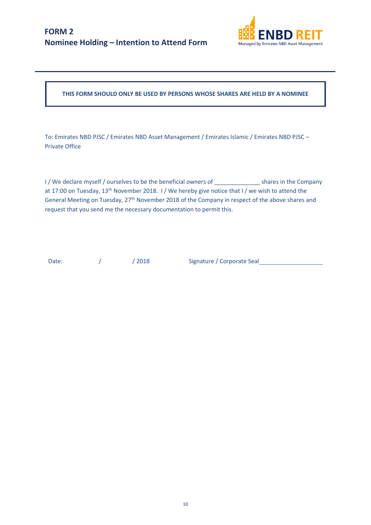

**THIS FORM SHOULD ONLY BE USED BY PERSONS WHOSE SHARES ARE HELD BY A NOMINEE**

To: Emirates NBD PJSC / Emirates NBD Asset Management / Emirates Islamic / Emirates NBD PJSC – Private Office

I / We declare myself / ourselves to be the beneficial owners of shares in the Company at 17:00 on Tuesday, 13<sup>th</sup> November 2018. I/We hereby give notice that I/we wish to attend the General Meeting on Tuesday, 27<sup>th</sup> November 2018 of the Company in respect of the above shares and request that you send me the necessary documentation to permit this.

Date: / / 2018 Signature / Corporate Seal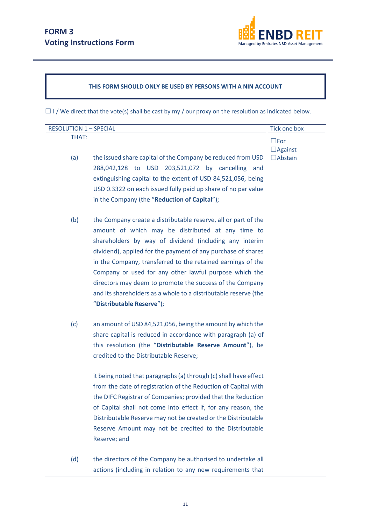

## **THIS FORM SHOULD ONLY BE USED BY PERSONS WITH A NIN ACCOUNT**

 $\Box$  I / We direct that the vote(s) shall be cast by my / our proxy on the resolution as indicated below.

| <b>RESOLUTION 1-SPECIAL</b> |                                                                                                                                                                                                                                                                                                                                                                                                                                                                                                                                                                                                                                                     | Tick one box                     |
|-----------------------------|-----------------------------------------------------------------------------------------------------------------------------------------------------------------------------------------------------------------------------------------------------------------------------------------------------------------------------------------------------------------------------------------------------------------------------------------------------------------------------------------------------------------------------------------------------------------------------------------------------------------------------------------------------|----------------------------------|
| THAT:                       |                                                                                                                                                                                                                                                                                                                                                                                                                                                                                                                                                                                                                                                     | $\square$ For                    |
| (a)                         | the issued share capital of the Company be reduced from USD<br>288,042,128 to USD 203,521,072 by cancelling<br>and<br>extinguishing capital to the extent of USD 84,521,056, being<br>USD 0.3322 on each issued fully paid up share of no par value<br>in the Company (the "Reduction of Capital");                                                                                                                                                                                                                                                                                                                                                 | $\Box$ Against<br>$\Box$ Abstain |
| (b)                         | the Company create a distributable reserve, all or part of the<br>amount of which may be distributed at any time to<br>shareholders by way of dividend (including any interim<br>dividend), applied for the payment of any purchase of shares<br>in the Company, transferred to the retained earnings of the<br>Company or used for any other lawful purpose which the<br>directors may deem to promote the success of the Company<br>and its shareholders as a whole to a distributable reserve (the<br>"Distributable Reserve");                                                                                                                  |                                  |
| (c)                         | an amount of USD 84,521,056, being the amount by which the<br>share capital is reduced in accordance with paragraph (a) of<br>this resolution (the "Distributable Reserve Amount"), be<br>credited to the Distributable Reserve;<br>it being noted that paragraphs (a) through (c) shall have effect<br>from the date of registration of the Reduction of Capital with<br>the DIFC Registrar of Companies; provided that the Reduction<br>of Capital shall not come into effect if, for any reason, the<br>Distributable Reserve may not be created or the Distributable<br>Reserve Amount may not be credited to the Distributable<br>Reserve; and |                                  |
| (d)                         | the directors of the Company be authorised to undertake all<br>actions (including in relation to any new requirements that                                                                                                                                                                                                                                                                                                                                                                                                                                                                                                                          |                                  |